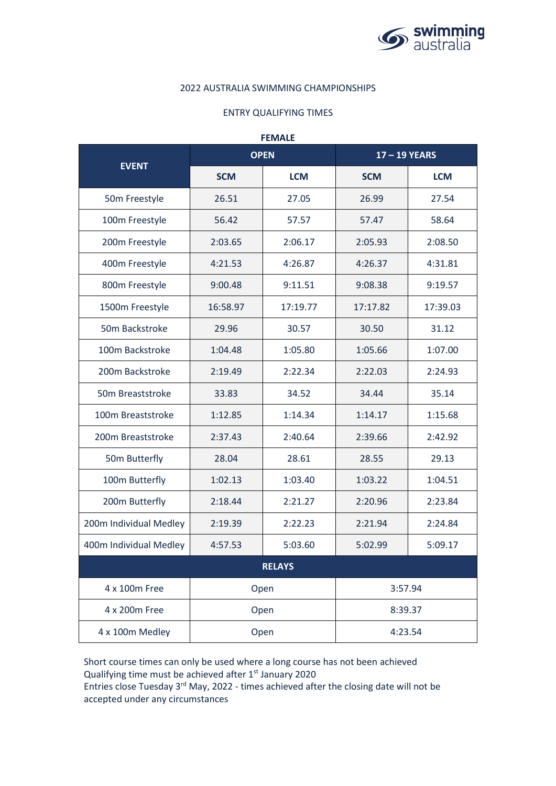

## 2022 AUSTRALIA SWIMMING CHAMPIONSHIPS

## ENTRY QUALIFYING TIMES

| <b>FEMALE</b>          |             |            |             |            |  |  |  |  |
|------------------------|-------------|------------|-------------|------------|--|--|--|--|
| <b>EVENT</b>           | <b>OPEN</b> |            | 17-19 YEARS |            |  |  |  |  |
|                        | <b>SCM</b>  | <b>LCM</b> | <b>SCM</b>  | <b>LCM</b> |  |  |  |  |
| 50m Freestyle          | 26.51       | 27.05      | 26.99       | 27.54      |  |  |  |  |
| 100m Freestyle         | 56.42       | 57.57      | 57.47       | 58.64      |  |  |  |  |
| 200m Freestyle         | 2:03.65     | 2:06.17    | 2:05.93     | 2:08.50    |  |  |  |  |
| 400m Freestyle         | 4:21.53     | 4:26.87    | 4:26.37     | 4:31.81    |  |  |  |  |
| 800m Freestyle         | 9:00.48     | 9:11.51    | 9:08.38     | 9:19.57    |  |  |  |  |
| 1500m Freestyle        | 16:58.97    | 17:19.77   | 17:17.82    | 17:39.03   |  |  |  |  |
| 50m Backstroke         | 29.96       | 30.57      | 30.50       | 31.12      |  |  |  |  |
| 100m Backstroke        | 1:04.48     | 1:05.80    | 1:05.66     | 1:07.00    |  |  |  |  |
| 200m Backstroke        | 2:19.49     | 2:22.34    | 2:22.03     | 2:24.93    |  |  |  |  |
| 50m Breaststroke       | 33.83       | 34.52      | 34.44       | 35.14      |  |  |  |  |
| 100m Breaststroke      | 1:12.85     | 1:14.34    | 1:14.17     | 1:15.68    |  |  |  |  |
| 200m Breaststroke      | 2:37.43     | 2:40.64    | 2:39.66     | 2:42.92    |  |  |  |  |
| 50m Butterfly          | 28.04       | 28.61      | 28.55       | 29.13      |  |  |  |  |
| 100m Butterfly         | 1:02.13     | 1:03.40    | 1:03.22     | 1:04.51    |  |  |  |  |
| 200m Butterfly         | 2:18.44     | 2:21.27    | 2:20.96     | 2:23.84    |  |  |  |  |
| 200m Individual Medley | 2:19.39     | 2:22.23    | 2:21.94     | 2:24.84    |  |  |  |  |
| 400m Individual Medley | 4:57.53     | 5:03.60    | 5:02.99     | 5:09.17    |  |  |  |  |
| <b>RELAYS</b>          |             |            |             |            |  |  |  |  |
| 4 x 100m Free          | Open        |            | 3:57.94     |            |  |  |  |  |
| 4 x 200m Free          | Open        |            | 8:39.37     |            |  |  |  |  |
| 4 x 100m Medley        | Open        |            | 4:23.54     |            |  |  |  |  |

Short course times can only be used where a long course has not been achieved Qualifying time must be achieved after 1<sup>st</sup> January 2020

Entries close Tuesday 3rd May, 2022 - times achieved after the closing date will not be accepted under any circumstances